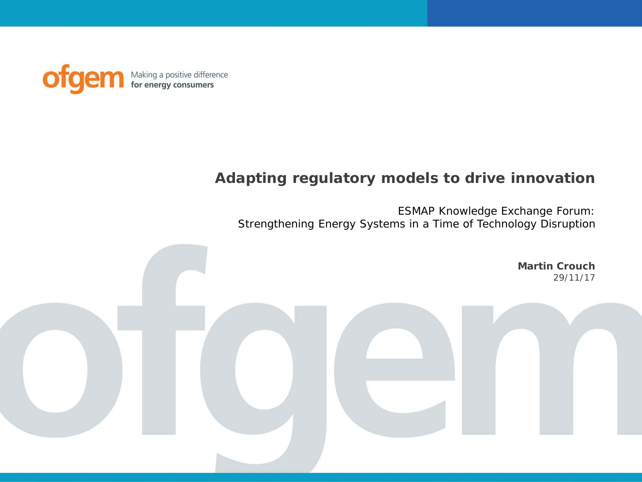

#### **Adapting regulatory models to drive innovation**

ESMAP Knowledge Exchange Forum: Strengthening Energy Systems in a Time of Technology Disruption

> **Martin Crouch** 29/11/17

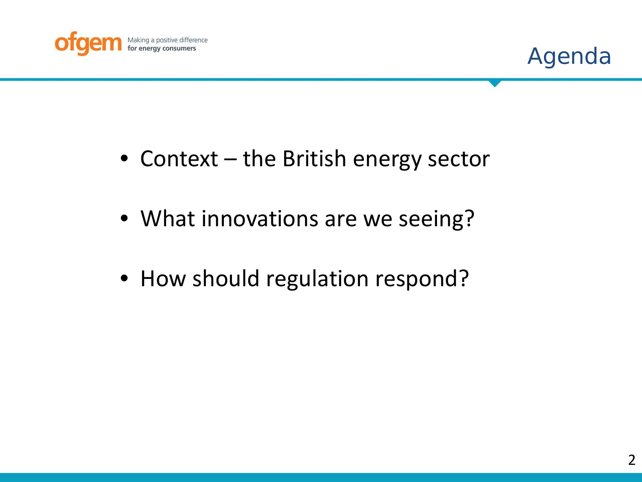



- Context the British energy sector
- What innovations are we seeing?
- How should regulation respond?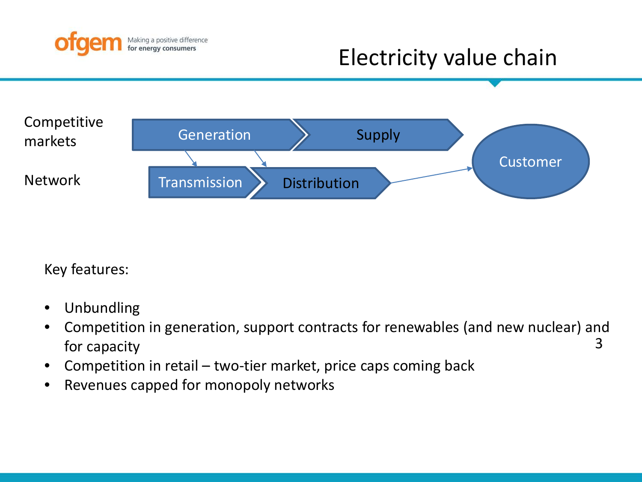

# Electricity value chain



Key features:

- Unbundling
- 3 • Competition in generation, support contracts for renewables (and new nuclear) and for capacity
- Competition in retail two-tier market, price caps coming back
- Revenues capped for monopoly networks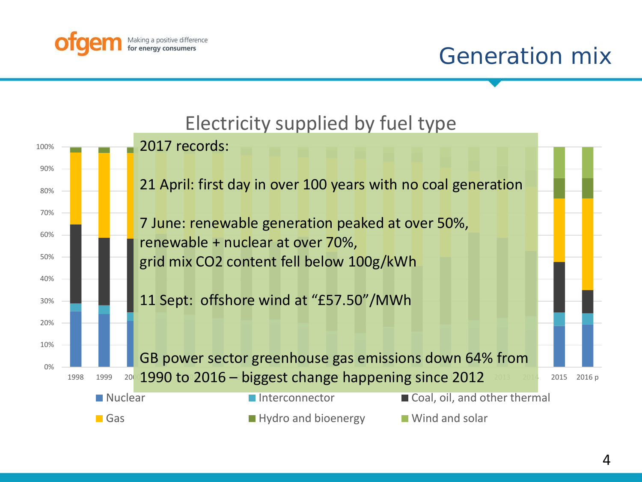

## Generation mix

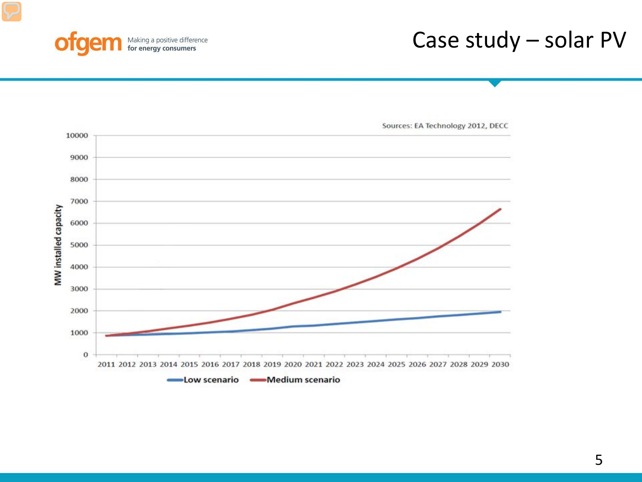

## Case study – solar PV

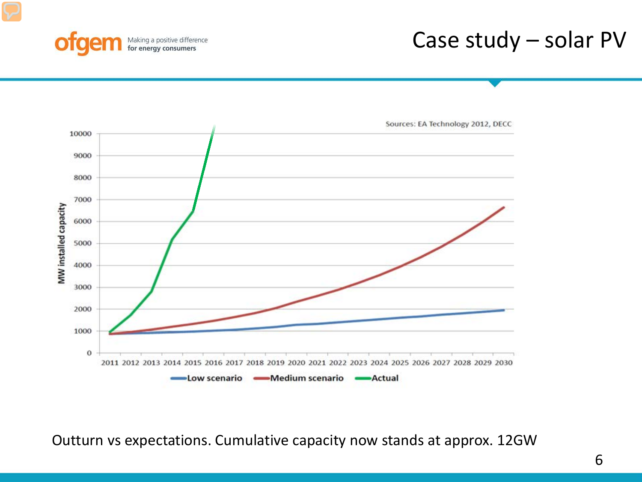

## Case study – solar PV



Outturn vs expectations. Cumulative capacity now stands at approx. 12GW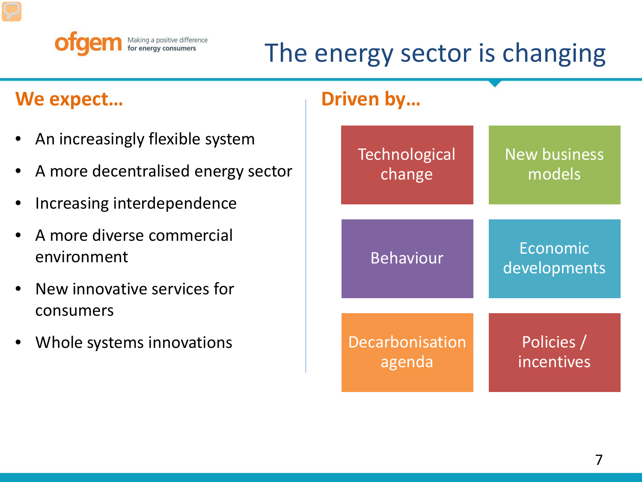

# The energy sector is changing

### **We expect... Construction in the UP** of Driven by...

- An increasingly flexible system
- A more decentralised energy sector
- Increasing interdependence
- A more diverse commercial environment
- New innovative services for consumers
- Whole systems innovations

**Technological** change

Behaviour **Economic** 

Decarbonisation agenda

New business models

developments

Policies / incentives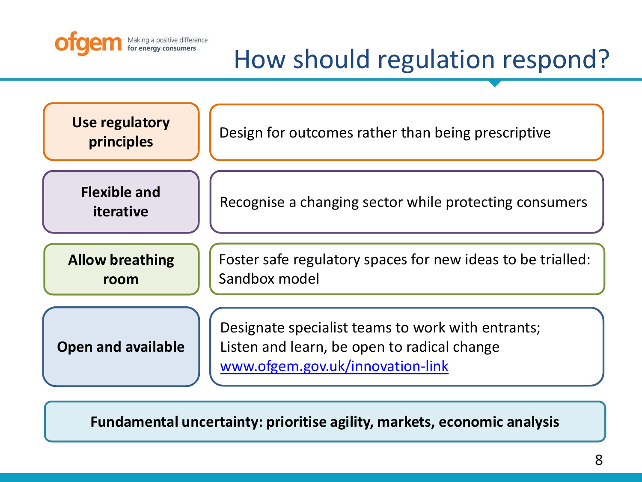

# How should regulation respond?

**Open and available Allow breathing room Flexible and iterative Use regulatory principles** Designate specialist teams to work with entrants; Listen and learn, be open to radical change [www.ofgem.gov.uk/innovation-link](http://www.ofgem.gov.uk/innovation-link) Foster safe regulatory spaces for new ideas to be trialled: Sandbox model Design for outcomes rather than being prescriptive Recognise a changing sector while protecting consumers

**Fundamental uncertainty: prioritise agility, markets, economic analysis**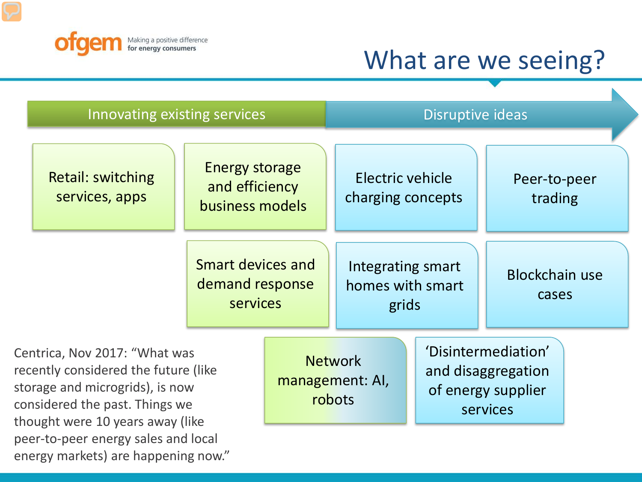

# What are we seeing?

N

|  | Innovating existing services                                                                                                                                                                                          |                                                            |                                             | Disruptive ideas                               |                                                                             |                                |  |
|--|-----------------------------------------------------------------------------------------------------------------------------------------------------------------------------------------------------------------------|------------------------------------------------------------|---------------------------------------------|------------------------------------------------|-----------------------------------------------------------------------------|--------------------------------|--|
|  | <b>Retail: switching</b><br>services, apps                                                                                                                                                                            | <b>Energy storage</b><br>and efficiency<br>business models |                                             | Electric vehicle<br>charging concepts          |                                                                             | Peer-to-peer<br>trading        |  |
|  |                                                                                                                                                                                                                       | Smart devices and<br>demand response<br><b>services</b>    |                                             | Integrating smart<br>homes with smart<br>grids |                                                                             | <b>Blockchain use</b><br>cases |  |
|  | Centrica, Nov 2017: "What was<br>recently considered the future (like<br>storage and microgrids), is now<br>considered the past. Things we<br>thought were 10 years away (like<br>peer-to-peer energy sales and local |                                                            | <b>Network</b><br>management: AI,<br>robots |                                                | 'Disintermediation'<br>and disaggregation<br>of energy supplier<br>services |                                |  |

energy markets) are happening now."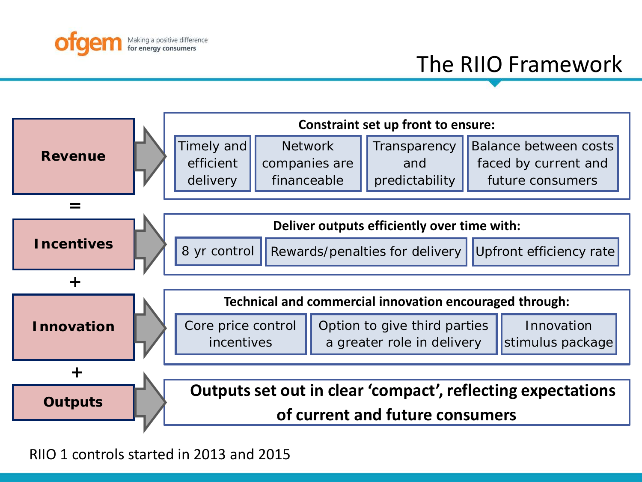



RIIO 1 controls started in 2013 and 2015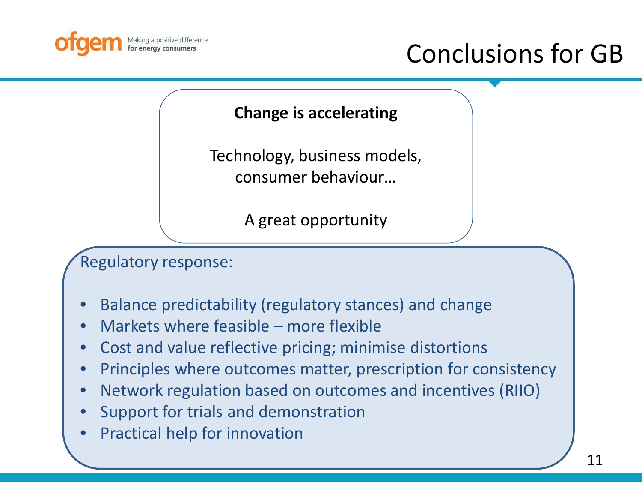

# Conclusions for GB

#### **Change is accelerating**

Technology, business models, consumer behaviour…

A great opportunity

Regulatory response:

- Balance predictability (regulatory stances) and change
- Markets where feasible more flexible
- Cost and value reflective pricing; minimise distortions
- Principles where outcomes matter, prescription for consistency
- Network regulation based on outcomes and incentives (RIIO)
- Support for trials and demonstration
- Practical help for innovation